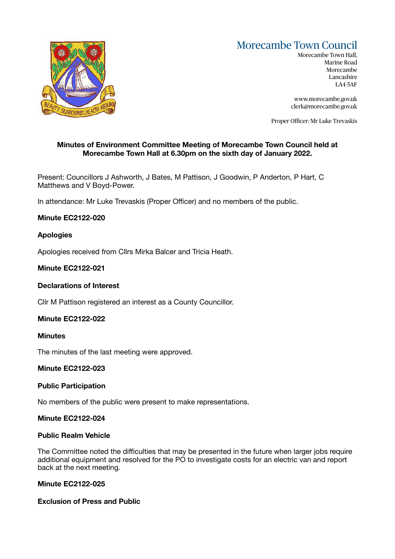# Morecambe Town Council



Morecambe Town Hall, Marine Road Morecambe Lancashire LA4 5AF

[www.morecambe.gov.uk](http://www.morecambe.gov.uk)  [clerk@morecambe.gov.uk](mailto:clerk@morecambe.gov.uk) 

Proper Officer: Mr Luke Trevaskis

# **Minutes of Environment Committee Meeting of Morecambe Town Council held at Morecambe Town Hall at 6.30pm on the sixth day of January 2022.**

Present: Councillors J Ashworth, J Bates, M Pattison, J Goodwin, P Anderton, P Hart, C Matthews and V Boyd-Power.

In attendance: Mr Luke Trevaskis (Proper Officer) and no members of the public.

## **Minute EC2122-020**

# **Apologies**

Apologies received from Cllrs Mirka Balcer and Tricia Heath.

## **Minute EC2122-021**

#### **Declarations of Interest**

Cllr M Pattison registered an interest as a County Councillor.

## **Minute EC2122-022**

#### **Minutes**

The minutes of the last meeting were approved.

## **Minute EC2122-023**

## **Public Participation**

No members of the public were present to make representations.

#### **Minute EC2122-024**

#### **Public Realm Vehicle**

The Committee noted the difficulties that may be presented in the future when larger jobs require additional equipment and resolved for the PO to investigate costs for an electric van and report back at the next meeting.

## **Minute EC2122-025**

## **Exclusion of Press and Public**